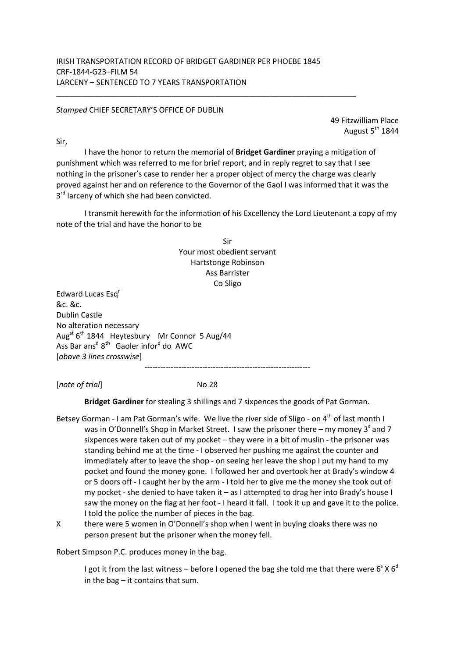## *Stamped* CHIEF SECRETARY'S OFFICE OF DUBLIN

49 Fitzwilliam Place August  $5<sup>th</sup>$  1844

Sir,

 I have the honor to return the memorial of **Bridget Gardiner** praying a mitigation of punishment which was referred to me for brief report, and in reply regret to say that I see nothing in the prisoner's case to render her a proper object of mercy the charge was clearly proved against her and on reference to the Governor of the Gaol I was informed that it was the 3<sup>rd</sup> larceny of which she had been convicted.

 I transmit herewith for the information of his Excellency the Lord Lieutenant a copy of my note of the trial and have the honor to be

> Sir Your most obedient servant Hartstonge Robinson Ass Barrister Co Sligo

Edward Lucas Esq<sup>r</sup> &c. &c. Dublin Castle No alteration necessary Aug<sup>st</sup> 6<sup>th</sup> 1844 Heytesbury Mr Connor 5 Aug/44 Ass Bar ans<sup>d</sup> 8<sup>th</sup> Gaoler infor<sup>d</sup> do AWC [*above 3 lines crosswise*] ---------------------------------------------------------------

[*note of trial*] No 28

**Bridget Gardiner** for stealing 3 shillings and 7 sixpences the goods of Pat Gorman.

- Betsey Gorman I am Pat Gorman's wife. We live the river side of Sligo on  $4^{th}$  of last month I was in O'Donnell's Shop in Market Street. I saw the prisoner there – my money 3<sup>s</sup> and 7 sixpences were taken out of my pocket – they were in a bit of muslin - the prisoner was standing behind me at the time - I observed her pushing me against the counter and immediately after to leave the shop - on seeing her leave the shop I put my hand to my pocket and found the money gone. I followed her and overtook her at Brady's window 4 or 5 doors off - I caught her by the arm - I told her to give me the money she took out of my pocket - she denied to have taken it – as I attempted to drag her into Brady's house I saw the money on the flag at her foot - I heard it fall. I took it up and gave it to the police. I told the police the number of pieces in the bag.
- X there were 5 women in O'Donnell's shop when I went in buying cloaks there was no person present but the prisoner when the money fell.

Robert Simpson P.C. produces money in the bag.

I got it from the last witness – before I opened the bag she told me that there were 6<sup>s</sup> X 6<sup>d</sup> in the bag – it contains that sum.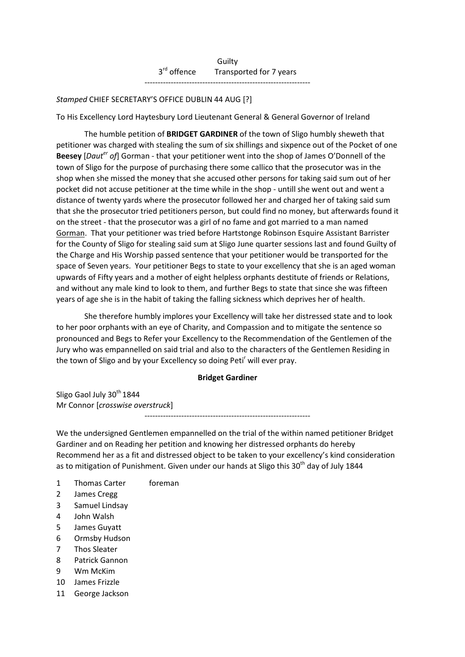Guilty 3<sup>rd</sup> offence Transported for 7 years ---------------------------------------------------------------

## *Stamped* CHIEF SECRETARY'S OFFICE DUBLIN 44 AUG [?]

To His Excellency Lord Haytesbury Lord Lieutenant General & General Governor of Ireland

 The humble petition of **BRIDGET GARDINER** of the town of Sligo humbly sheweth that petitioner was charged with stealing the sum of six shillings and sixpence out of the Pocket of one **Beesey** [*Dauter of*] Gorman - that your petitioner went into the shop of James O'Donnell of the town of Sligo for the purpose of purchasing there some callico that the prosecutor was in the shop when she missed the money that she accused other persons for taking said sum out of her pocket did not accuse petitioner at the time while in the shop - untill she went out and went a distance of twenty yards where the prosecutor followed her and charged her of taking said sum that she the prosecutor tried petitioners person, but could find no money, but afterwards found it on the street - that the prosecutor was a girl of no fame and got married to a man named Gorman. That your petitioner was tried before Hartstonge Robinson Esquire Assistant Barrister for the County of Sligo for stealing said sum at Sligo June quarter sessions last and found Guilty of the Charge and His Worship passed sentence that your petitioner would be transported for the space of Seven years. Your petitioner Begs to state to your excellency that she is an aged woman upwards of Fifty years and a mother of eight helpless orphants destitute of friends or Relations, and without any male kind to look to them, and further Begs to state that since she was fifteen years of age she is in the habit of taking the falling sickness which deprives her of health.

 She therefore humbly implores your Excellency will take her distressed state and to look to her poor orphants with an eye of Charity, and Compassion and to mitigate the sentence so pronounced and Begs to Refer your Excellency to the Recommendation of the Gentlemen of the Jury who was empannelled on said trial and also to the characters of the Gentlemen Residing in the town of Sligo and by your Excellency so doing Peti<sup>r</sup> will ever pray.

## **Bridget Gardiner**

Sligo Gaol July 30<sup>th</sup> 1844 Mr Connor [*crosswise overstruck*]

---------------------------------------------------------------

We the undersigned Gentlemen empannelled on the trial of the within named petitioner Bridget Gardiner and on Reading her petition and knowing her distressed orphants do hereby Recommend her as a fit and distressed object to be taken to your excellency's kind consideration as to mitigation of Punishment. Given under our hands at Sligo this  $30<sup>th</sup>$  day of July 1844

- 1 Thomas Carter foreman
- 2 James Cregg
- 3 Samuel Lindsay
- 4 John Walsh
- 5 James Guyatt
- 6 Ormsby Hudson
- 7 Thos Sleater
- 8 Patrick Gannon
- 9 Wm McKim
- 10 James Frizzle
- 11 George Jackson